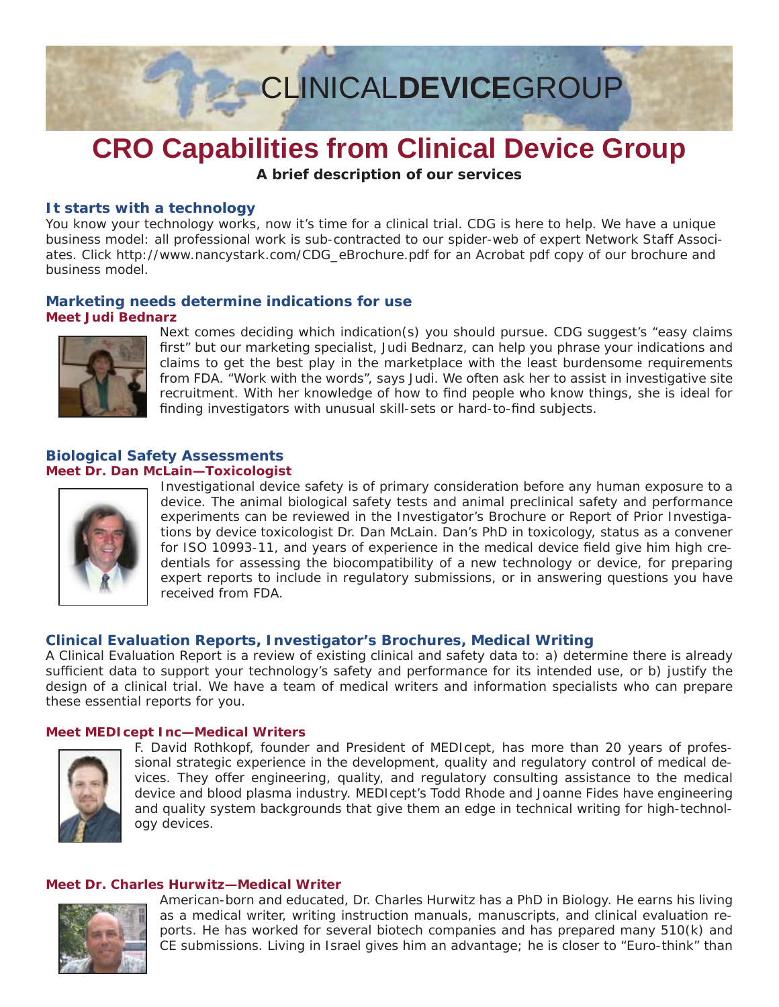

# **CRO Capabilities from Clinical Device Group**

**A brief description of our services**

### **It starts with a technology t starts with a**

You know your technology works, now it's time for a clinical trial. CDG is here to help. We have a unique business model: all professional work is sub-contracted to our spider-web of expert Network Staff Associates. Click http://www.nancystark.com/CDG\_eBrochure.pdf for an Acrobat pdf copy of our brochure and business model.

### **Marketing needs determine indications for use Meet Judi Bednarz**



Next comes deciding which indication(s) you should pursue. CDG suggest's "easy claims first" but our marketing specialist, Judi Bednarz, can help you phrase your indications and claims to get the best play in the marketplace with the least burdensome requirements from FDA. "Work with the words", says Judi. We often ask her to assist in investigative site recruitment. With her knowledge of how to find people who know things, she is ideal for finding investigators with unusual skill-sets or hard-to-find subjects.

### **Biological Safety Assessments Meet Dr. Dan McLain—Toxicologist**



Investigational device safety is of primary consideration before any human exposure to a device. The animal biological safety tests and animal preclinical safety and performance experiments can be reviewed in the Investigator's Brochure or Report of Prior Investigations by device toxicologist Dr. Dan McLain. Dan's PhD in toxicology, status as a convener for ISO 10993-11, and years of experience in the medical device field give him high credentials for assessing the biocompatibility of a new technology or device, for preparing expert reports to include in regulatory submissions, or in answering questions you have received from FDA.

### **Clinical Evaluation Reports, Investigator's Brochures, Medical Writing linical Evaluation Reports, Investigator's Brochures, Medical**

A Clinical Evaluation Report is a review of existing clinical and safety data to: a) determine there is already sufficient data to support your technology's safety and performance for its intended use, or b) justify the design of a clinical trial. We have a team of medical writers and information specialists who can prepare these essential reports for you.

### **Meet MEDIcept Inc—Medical Writers**



F. David Rothkopf, founder and President of MEDIcept, has more than 20 years of professional strategic experience in the development, quality and regulatory control of medical devices. They offer engineering, quality, and regulatory consulting assistance to the medical device and blood plasma industry. MEDIcept's Todd Rhode and Joanne Fides have engineering and quality system backgrounds that give them an edge in technical writing for high-technology devices.

### **Meet Dr. Charles Hurwitz—Medical Writer**



American-born and educated, Dr. Charles Hurwitz has a PhD in Biology. He earns his living as a medical writer, writing instruction manuals, manuscripts, and clinical evaluation reports. He has worked for several biotech companies and has prepared many 510(k) and CE submissions. Living in Israel gives him an advantage; he is closer to "Euro-think" than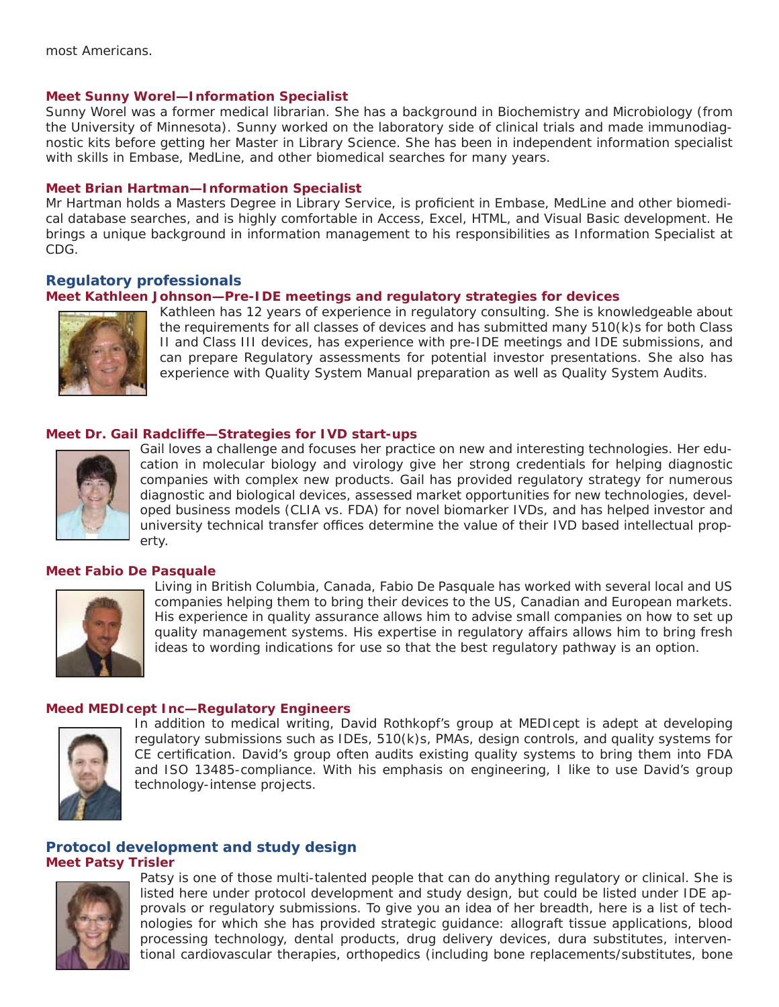### **Meet Sunny Worel—Information Specialist**

Sunny Worel was a former medical librarian. She has a background in Biochemistry and Microbiology (from the University of Minnesota). Sunny worked on the laboratory side of clinical trials and made immunodiagnostic kits before getting her Master in Library Science. She has been in independent information specialist with skills in Embase, MedLine, and other biomedical searches for many years.

### **Meet Brian Hartman—Information Specialist**

Mr Hartman holds a Masters Degree in Library Service, is proficient in Embase, MedLine and other biomedical database searches, and is highly comfortable in Access, Excel, HTML, and Visual Basic development. He brings a unique background in information management to his responsibilities as Information Specialist at CDG.

### **Regulatory professionals egulatory professionals**

### **Meet Kathleen Johnson—Pre-IDE meetings and regulatory strategies for devices**



Kathleen has 12 years of experience in regulatory consulting. She is knowledgeable about the requirements for all classes of devices and has submitted many 510(k)s for both Class II and Class III devices, has experience with pre-IDE meetings and IDE submissions, and can prepare Regulatory assessments for potential investor presentations. She also has experience with Quality System Manual preparation as well as Quality System Audits.

### **Meet Dr. Gail Radcliffe—Strategies for IVD start-ups**



Gail loves a challenge and focuses her practice on new and interesting technologies. Her education in molecular biology and virology give her strong credentials for helping diagnostic companies with complex new products. Gail has provided regulatory strategy for numerous diagnostic and biological devices, assessed market opportunities for new technologies, developed business models (CLIA vs. FDA) for novel biomarker IVDs, and has helped investor and university technical transfer offices determine the value of their IVD based intellectual property.

### **Meet Fabio De Pasquale**



Living in British Columbia, Canada, Fabio De Pasquale has worked with several local and US companies helping them to bring their devices to the US, Canadian and European markets. His experience in quality assurance allows him to advise small companies on how to set up quality management systems. His expertise in regulatory affairs allows him to bring fresh ideas to wording indications for use so that the best regulatory pathway is an option.

### **Meed MEDIcept Inc—Regulatory Engineers**



In addition to medical writing, David Rothkopf's group at MEDIcept is adept at developing regulatory submissions such as IDEs, 510(k)s, PMAs, design controls, and quality systems for CE certification. David's group often audits existing quality systems to bring them into FDA and ISO 13485-compliance. With his emphasis on engineering, I like to use David's group technology-intense projects.

### **Protocol development and study design Meet Patsy Trisler**



Patsy is one of those multi-talented people that can do anything regulatory or clinical. She is listed here under protocol development and study design, but could be listed under IDE approvals or regulatory submissions. To give you an idea of her breadth, here is a list of technologies for which she has provided strategic guidance: allograft tissue applications, blood processing technology, dental products, drug delivery devices, dura substitutes, interventional cardiovascular therapies, orthopedics (including bone replacements/substitutes, bone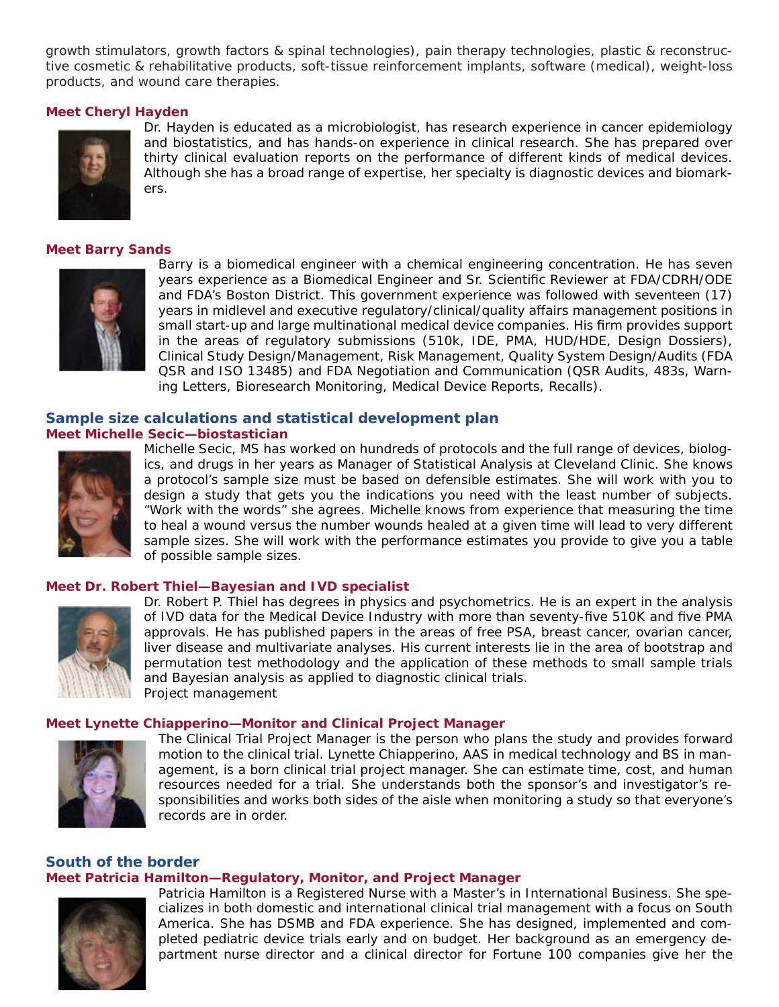growth stimulators, growth factors & spinal technologies), pain therapy technologies, plastic & reconstructive cosmetic & rehabilitative products, soft-tissue reinforcement implants, software (medical), weight-loss products, and wound care therapies.

### **Meet Cheryl Hayden**



Dr. Hayden is educated as a microbiologist, has research experience in cancer epidemiology and biostatistics, and has hands-on experience in clinical research. She has prepared over thirty clinical evaluation reports on the performance of different kinds of medical devices. Although she has a broad range of expertise, her specialty is diagnostic devices and biomarkers.

### **Meet Barry Sands**



Barry is a biomedical engineer with a chemical engineering concentration. He has seven years experience as a Biomedical Engineer and Sr. Scientific Reviewer at FDA/CDRH/ODE and FDA's Boston District. This government experience was followed with seventeen (17) years in midlevel and executive regulatory/clinical/quality affairs management positions in small start-up and large multinational medical device companies. His firm provides support in the areas of regulatory submissions (510k, IDE, PMA, HUD/HDE, Design Dossiers), Clinical Study Design/Management, Risk Management, Quality System Design/Audits (FDA QSR and ISO 13485) and FDA Negotiation and Communication (QSR Audits, 483s, Warning Letters, Bioresearch Monitoring, Medical Device Reports, Recalls).

### **Sample size calculations and statistical development plan ample size calculations and statistical development**

**Meet Michelle Secic—biostastician**



Michelle Secic, MS has worked on hundreds of protocols and the full range of devices, biologics, and drugs in her years as Manager of Statistical Analysis at Cleveland Clinic. She knows a protocol's sample size must be based on defensible estimates. She will work with you to design a study that gets you the indications you need with the least number of subjects. "Work with the words" she agrees. Michelle knows from experience that measuring the time to heal a wound versus the number wounds healed at a given time will lead to very different sample sizes. She will work with the performance estimates you provide to give you a table of possible sample sizes.

### **Meet Dr. Robert Thiel—Bayesian and IVD specialist**



Dr. Robert P. Thiel has degrees in physics and psychometrics. He is an expert in the analysis of IVD data for the Medical Device Industry with more than seventy-five 510K and five PMA approvals. He has published papers in the areas of free PSA, breast cancer, ovarian cancer, liver disease and multivariate analyses. His current interests lie in the area of bootstrap and permutation test methodology and the application of these methods to small sample trials and Bayesian analysis as applied to diagnostic clinical trials. Project management

### **Meet Lynette Chiapperino—Monitor and Clinical Project Manager**



The Clinical Trial Project Manager is the person who plans the study and provides forward motion to the clinical trial. Lynette Chiapperino, AAS in medical technology and BS in management, is a born clinical trial project manager. She can estimate time, cost, and human resources needed for a trial. She understands both the sponsor's and investigator's responsibilities and works both sides of the aisle when monitoring a study so that everyone's records are in order.

### **South of the border**

### **Meet Patricia Hamilton—Regulatory, Monitor, and Project Manager**



Patricia Hamilton is a Registered Nurse with a Master's in International Business. She specializes in both domestic and international clinical trial management with a focus on South America. She has DSMB and FDA experience. She has designed, implemented and completed pediatric device trials early and on budget. Her background as an emergency department nurse director and a clinical director for Fortune 100 companies give her the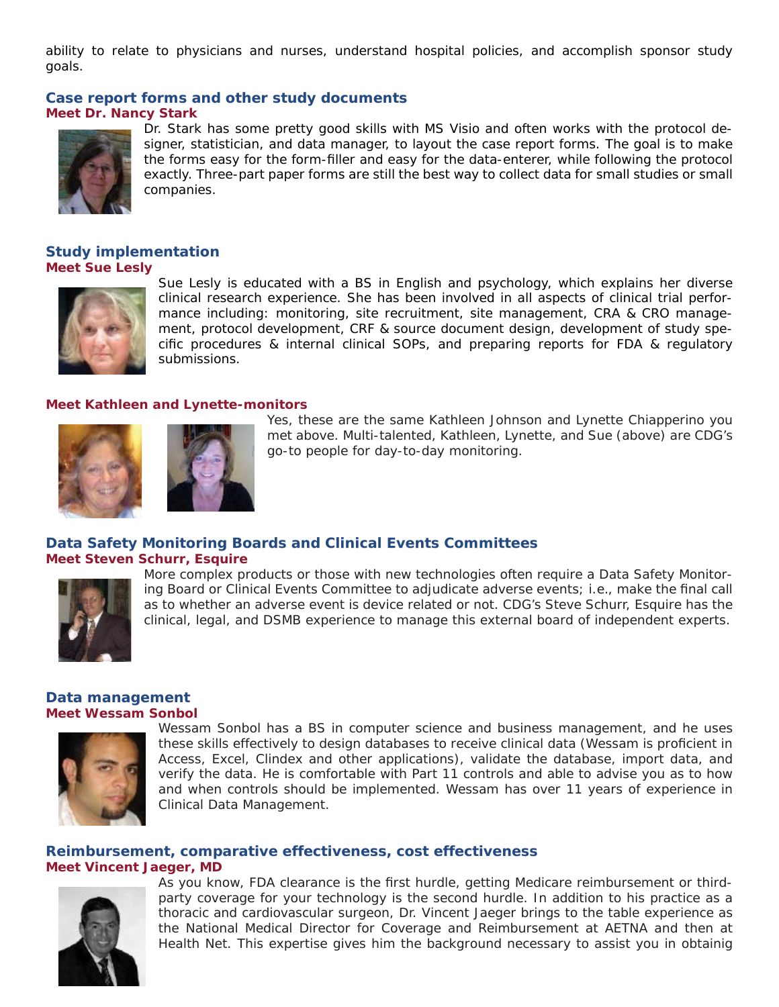ability to relate to physicians and nurses, understand hospital policies, and accomplish sponsor study goals.

### **Case report forms and other study documents**

#### **Meet Dr. Nancy Stark**



Dr. Stark has some pretty good skills with MS Visio and often works with the protocol designer, statistician, and data manager, to layout the case report forms. The goal is to make the forms easy for the form-filler and easy for the data-enterer, while following the protocol exactly. Three-part paper forms are still the best way to collect data for small studies or small companies.

### **Study implementation Meet Sue Lesly**



Sue Lesly is educated with a BS in English and psychology, which explains her diverse clinical research experience. She has been involved in all aspects of clinical trial performance including: monitoring, site recruitment, site management, CRA & CRO management, protocol development, CRF & source document design, development of study spe $c$  ific procedures  $\&$  internal clinical SOPs, and preparing reports for FDA  $\&$  regulatory submissions.

### **Meet Kathleen and Lynette-monitors**





Yes, these are the same Kathleen Johnson and Lynette Chiapperino you met above. Multi-talented, Kathleen, Lynette, and Sue (above) are CDG's go-to people for day-to-day monitoring.

## **Data Safety Monitoring Boards and Clinical Events Committees**

**Meet Steven Schurr, Esquire**



More complex products or those with new technologies often require a Data Safety Monitoring Board or Clinical Events Committee to adjudicate adverse events; i.e., make the final call as to whether an adverse event is device related or not. CDG's Steve Schurr, Esquire has the clinical, legal, and DSMB experience to manage this external board of independent experts.

### **Data management Meet Wessam Sonbol**



Wessam Sonbol has a BS in computer science and business management, and he uses these skills effectively to design databases to receive clinical data (Wessam is proficient in Access, Excel, Clindex and other applications), validate the database, import data, and verify the data. He is comfortable with Part 11 controls and able to advise you as to how and when controls should be implemented. Wessam has over 11 years of experience in Clinical Data Management.

### **Reimbursement, comparative effectiveness, cost effectiveness**

### **Meet Vincent Jaeger, MD**



As you know, FDA clearance is the first hurdle, getting Medicare reimbursement or thirdparty coverage for your technology is the second hurdle. In addition to his practice as a thoracic and cardiovascular surgeon, Dr. Vincent Jaeger brings to the table experience as the National Medical Director for Coverage and Reimbursement at AETNA and then at Health Net. This expertise gives him the background necessary to assist you in obtainig